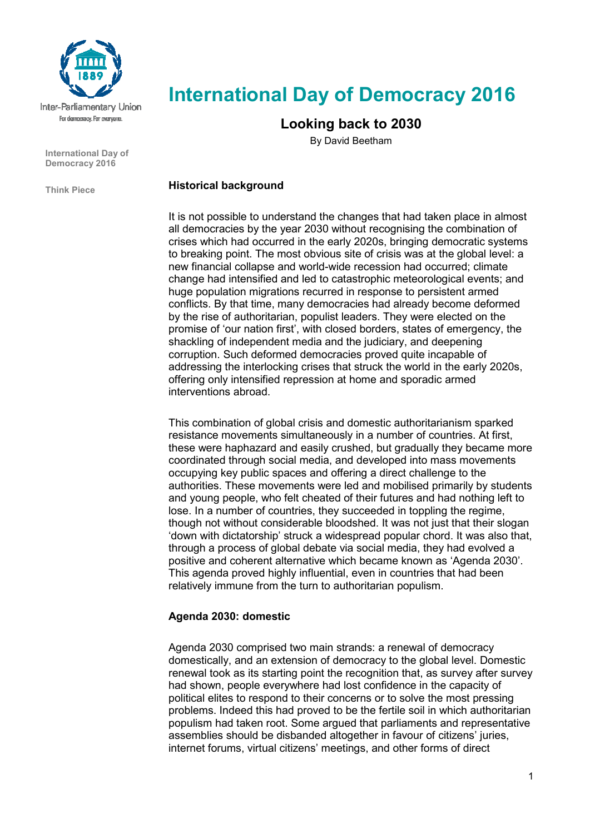

**International Day of Democracy 2016** 

**Think Piece** 

# **International Day of Democracy 2016**

# **Looking back to 2030**

By David Beetham

#### **Historical background**

It is not possible to understand the changes that had taken place in almost all democracies by the year 2030 without recognising the combination of crises which had occurred in the early 2020s, bringing democratic systems to breaking point. The most obvious site of crisis was at the global level: a new financial collapse and world-wide recession had occurred; climate change had intensified and led to catastrophic meteorological events; and huge population migrations recurred in response to persistent armed conflicts. By that time, many democracies had already become deformed by the rise of authoritarian, populist leaders. They were elected on the promise of 'our nation first', with closed borders, states of emergency, the shackling of independent media and the judiciary, and deepening corruption. Such deformed democracies proved quite incapable of addressing the interlocking crises that struck the world in the early 2020s, offering only intensified repression at home and sporadic armed interventions abroad.

This combination of global crisis and domestic authoritarianism sparked resistance movements simultaneously in a number of countries. At first, these were haphazard and easily crushed, but gradually they became more coordinated through social media, and developed into mass movements occupying key public spaces and offering a direct challenge to the authorities. These movements were led and mobilised primarily by students and young people, who felt cheated of their futures and had nothing left to lose. In a number of countries, they succeeded in toppling the regime, though not without considerable bloodshed. It was not just that their slogan 'down with dictatorship' struck a widespread popular chord. It was also that, through a process of global debate via social media, they had evolved a positive and coherent alternative which became known as 'Agenda 2030'. This agenda proved highly influential, even in countries that had been relatively immune from the turn to authoritarian populism.

### **Agenda 2030: domestic**

Agenda 2030 comprised two main strands: a renewal of democracy domestically, and an extension of democracy to the global level. Domestic renewal took as its starting point the recognition that, as survey after survey had shown, people everywhere had lost confidence in the capacity of political elites to respond to their concerns or to solve the most pressing problems. Indeed this had proved to be the fertile soil in which authoritarian populism had taken root. Some argued that parliaments and representative assemblies should be disbanded altogether in favour of citizens' juries, internet forums, virtual citizens' meetings, and other forms of direct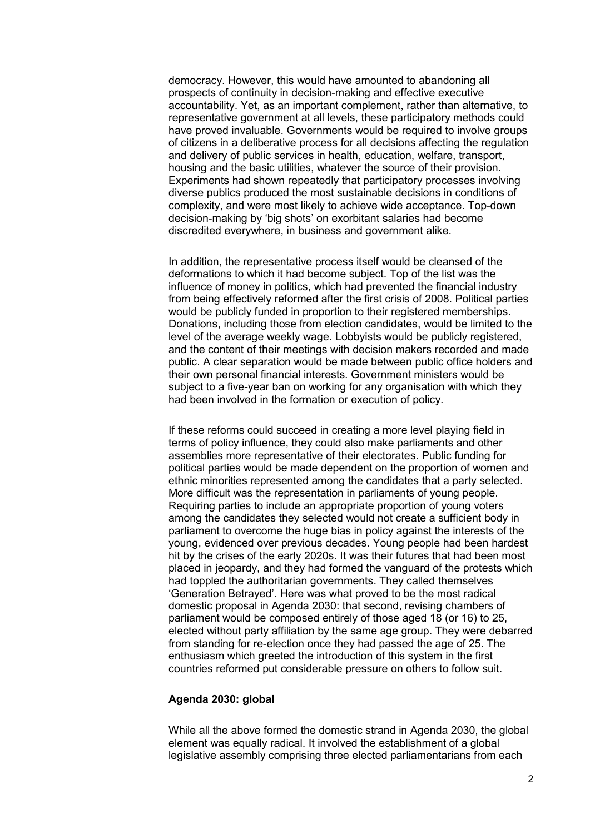democracy. However, this would have amounted to abandoning all prospects of continuity in decision-making and effective executive accountability. Yet, as an important complement, rather than alternative, to representative government at all levels, these participatory methods could have proved invaluable. Governments would be required to involve groups of citizens in a deliberative process for all decisions affecting the regulation and delivery of public services in health, education, welfare, transport, housing and the basic utilities, whatever the source of their provision. Experiments had shown repeatedly that participatory processes involving diverse publics produced the most sustainable decisions in conditions of complexity, and were most likely to achieve wide acceptance. Top-down decision-making by 'big shots' on exorbitant salaries had become discredited everywhere, in business and government alike.

In addition, the representative process itself would be cleansed of the deformations to which it had become subject. Top of the list was the influence of money in politics, which had prevented the financial industry from being effectively reformed after the first crisis of 2008. Political parties would be publicly funded in proportion to their registered memberships. Donations, including those from election candidates, would be limited to the level of the average weekly wage. Lobbyists would be publicly registered, and the content of their meetings with decision makers recorded and made public. A clear separation would be made between public office holders and their own personal financial interests. Government ministers would be subject to a five-year ban on working for any organisation with which they had been involved in the formation or execution of policy.

If these reforms could succeed in creating a more level playing field in terms of policy influence, they could also make parliaments and other assemblies more representative of their electorates. Public funding for political parties would be made dependent on the proportion of women and ethnic minorities represented among the candidates that a party selected. More difficult was the representation in parliaments of young people. Requiring parties to include an appropriate proportion of young voters among the candidates they selected would not create a sufficient body in parliament to overcome the huge bias in policy against the interests of the young, evidenced over previous decades. Young people had been hardest hit by the crises of the early 2020s. It was their futures that had been most placed in jeopardy, and they had formed the vanguard of the protests which had toppled the authoritarian governments. They called themselves 'Generation Betrayed'. Here was what proved to be the most radical domestic proposal in Agenda 2030: that second, revising chambers of parliament would be composed entirely of those aged 18 (or 16) to 25, elected without party affiliation by the same age group. They were debarred from standing for re-election once they had passed the age of 25. The enthusiasm which greeted the introduction of this system in the first countries reformed put considerable pressure on others to follow suit.

#### **Agenda 2030: global**

While all the above formed the domestic strand in Agenda 2030, the global element was equally radical. It involved the establishment of a global legislative assembly comprising three elected parliamentarians from each